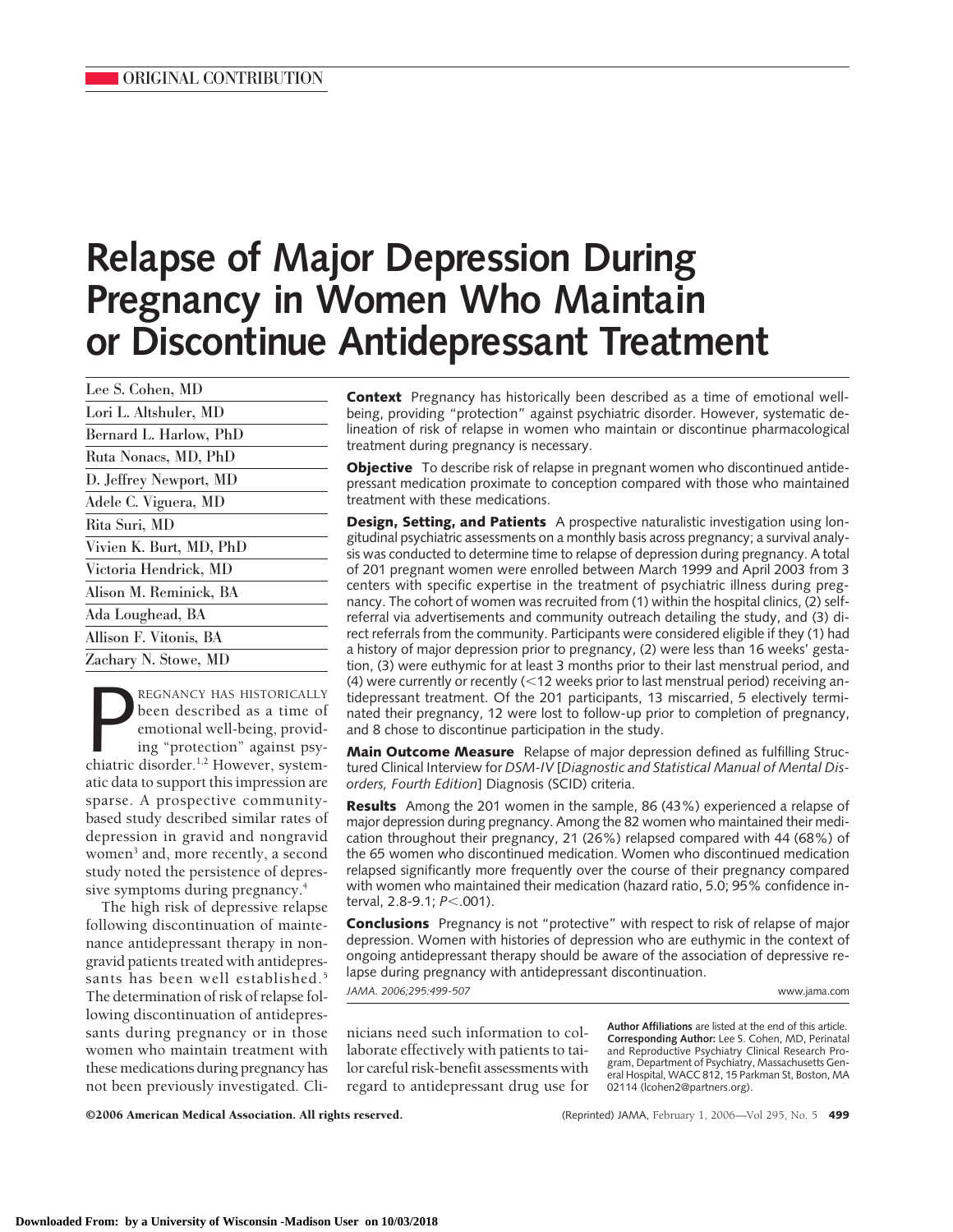# **Relapse of Major Depression During Pregnancy in Women Who Maintain or Discontinue Antidepressant Treatment**

| Lee S. Cohen, MD<br>Lori L. Altshuler, MD<br>Bernard L. Harlow, PhD<br>Ruta Nonacs, MD, PhD<br>Adele C. Viguera, MD<br>Rita Suri, MD<br>Alison M. Reminick, BA<br>Allison F. Vitonis, BA |                         |
|------------------------------------------------------------------------------------------------------------------------------------------------------------------------------------------|-------------------------|
|                                                                                                                                                                                          |                         |
|                                                                                                                                                                                          |                         |
|                                                                                                                                                                                          |                         |
|                                                                                                                                                                                          |                         |
|                                                                                                                                                                                          | D. Jeffrey Newport, MD  |
|                                                                                                                                                                                          |                         |
|                                                                                                                                                                                          |                         |
|                                                                                                                                                                                          | Vivien K. Burt, MD, PhD |
|                                                                                                                                                                                          | Victoria Hendrick, MD   |
|                                                                                                                                                                                          |                         |
|                                                                                                                                                                                          | Ada Loughead, BA        |
|                                                                                                                                                                                          |                         |
|                                                                                                                                                                                          | Zachary N. Stowe, MD    |

REGNANCY HAS HISTORICALLY<br>been described as a time of<br>emotional well-being, provid-<br>ing "protection" against psy-<br>chiatric disorder.<sup>1,2</sup> However, system-REGNANCY HAS HISTORICALLY been described as a time of emotional well-being, providing "protection" against psyatic data to support this impression are sparse. A prospective communitybased study described similar rates of depression in gravid and nongravid women<sup>3</sup> and, more recently, a second study noted the persistence of depressive symptoms during pregnancy.<sup>4</sup>

The high risk of depressive relapse following discontinuation of maintenance antidepressant therapy in nongravid patients treated with antidepressants has been well established.<sup>5</sup> The determination of risk of relapse following discontinuation of antidepressants during pregnancy or in those women who maintain treatment with these medications during pregnancy has not been previously investigated. Cli**Context** Pregnancy has historically been described as a time of emotional wellbeing, providing "protection" against psychiatric disorder. However, systematic delineation of risk of relapse in women who maintain or discontinue pharmacological treatment during pregnancy is necessary.

**Objective** To describe risk of relapse in pregnant women who discontinued antidepressant medication proximate to conception compared with those who maintained treatment with these medications.

**Design, Setting, and Patients** A prospective naturalistic investigation using longitudinal psychiatric assessments on a monthly basis across pregnancy; a survival analysis was conducted to determine time to relapse of depression during pregnancy. A total of 201 pregnant women were enrolled between March 1999 and April 2003 from 3 centers with specific expertise in the treatment of psychiatric illness during pregnancy. The cohort of women was recruited from (1) within the hospital clinics, (2) selfreferral via advertisements and community outreach detailing the study, and (3) direct referrals from the community. Participants were considered eligible if they (1) had a history of major depression prior to pregnancy, (2) were less than 16 weeks' gestation, (3) were euthymic for at least 3 months prior to their last menstrual period, and (4) were currently or recently  $(12$  weeks prior to last menstrual period) receiving antidepressant treatment. Of the 201 participants, 13 miscarried, 5 electively terminated their pregnancy, 12 were lost to follow-up prior to completion of pregnancy, and 8 chose to discontinue participation in the study.

**Main Outcome Measure** Relapse of major depression defined as fulfilling Structured Clinical Interview for *DSM-IV* [*Diagnostic and Statistical Manual of Mental Disorders, Fourth Edition*] Diagnosis (SCID) criteria.

**Results** Among the 201 women in the sample, 86 (43%) experienced a relapse of major depression during pregnancy. Among the 82 women who maintained their medication throughout their pregnancy, 21 (26%) relapsed compared with 44 (68%) of the 65 women who discontinued medication. Women who discontinued medication relapsed significantly more frequently over the course of their pregnancy compared with women who maintained their medication (hazard ratio, 5.0; 95% confidence interval, 2.8-9.1; *P*.001).

**Conclusions** Pregnancy is not "protective" with respect to risk of relapse of major depression. Women with histories of depression who are euthymic in the context of ongoing antidepressant therapy should be aware of the association of depressive relapse during pregnancy with antidepressant discontinuation. *JAMA. 2006;295:499-507* www.jama.com

nicians need such information to collaborate effectively with patients to tailor careful risk-benefit assessments with regard to antidepressant drug use for **Author Affiliations** are listed at the end of this article. **Corresponding Author:** Lee S. Cohen, MD, Perinatal and Reproductive Psychiatry Clinical Research Program, Department of Psychiatry, Massachusetts General Hospital, WACC 812, 15 Parkman St, Boston, MA 02114 (lcohen2@partners.org).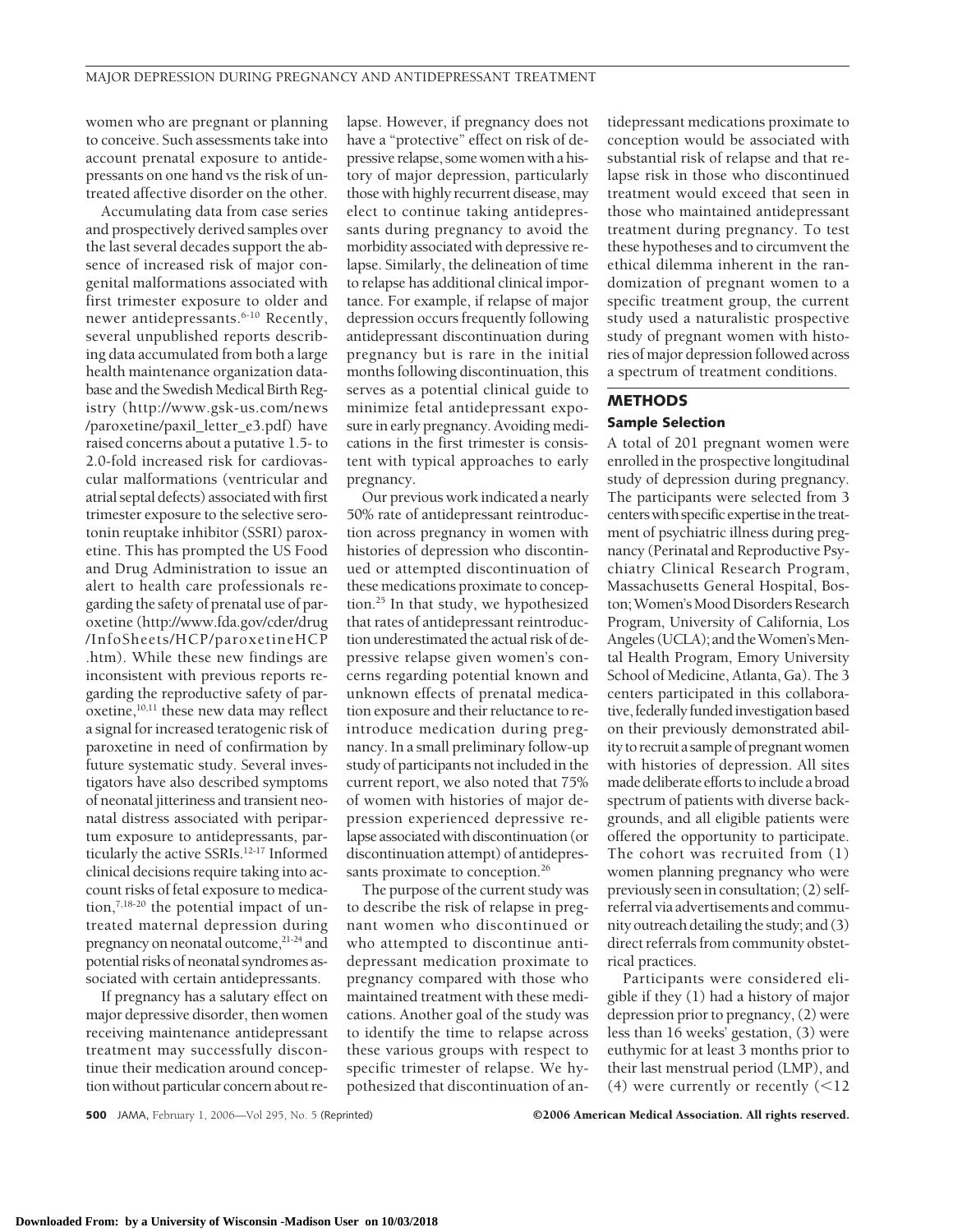women who are pregnant or planning to conceive. Such assessments take into account prenatal exposure to antidepressants on one hand vs the risk of untreated affective disorder on the other.

Accumulating data from case series and prospectively derived samples over the last several decades support the absence of increased risk of major congenital malformations associated with first trimester exposure to older and newer antidepressants.6-10 Recently, several unpublished reports describing data accumulated from both a large health maintenance organization database and the Swedish Medical Birth Registry (http://www.gsk-us.com/news /paroxetine/paxil\_letter\_e3.pdf) have raised concerns about a putative 1.5- to 2.0-fold increased risk for cardiovascular malformations (ventricular and atrial septal defects) associated with first trimester exposure to the selective serotonin reuptake inhibitor (SSRI) paroxetine. This has prompted the US Food and Drug Administration to issue an alert to health care professionals regarding the safety of prenatal use of paroxetine (http://www.fda.gov/cder/drug /InfoSheets/HCP/paroxetineHCP .htm). While these new findings are inconsistent with previous reports regarding the reproductive safety of paroxetine, $10,11$  these new data may reflect a signal for increased teratogenic risk of paroxetine in need of confirmation by future systematic study. Several investigators have also described symptoms of neonatal jitteriness and transient neonatal distress associated with peripartum exposure to antidepressants, particularly the active SSRIs.12-17 Informed clinical decisions require taking into account risks of fetal exposure to medication,<sup>7,18-20</sup> the potential impact of untreated maternal depression during pregnancy on neonatal outcome,<sup>21-24</sup> and potential risks of neonatal syndromes associated with certain antidepressants.

If pregnancy has a salutary effect on major depressive disorder, then women receiving maintenance antidepressant treatment may successfully discontinue their medication around conception without particular concern about relapse. However, if pregnancy does not have a "protective" effect on risk of depressive relapse, some women with a history of major depression, particularly those with highly recurrent disease, may elect to continue taking antidepressants during pregnancy to avoid the morbidity associated with depressive relapse. Similarly, the delineation of time to relapse has additional clinical importance. For example, if relapse of major depression occurs frequently following antidepressant discontinuation during pregnancy but is rare in the initial months following discontinuation, this serves as a potential clinical guide to minimize fetal antidepressant exposure in early pregnancy. Avoiding medications in the first trimester is consistent with typical approaches to early pregnancy.

Our previous work indicated a nearly 50% rate of antidepressant reintroduction across pregnancy in women with histories of depression who discontinued or attempted discontinuation of these medications proximate to conception.25 In that study, we hypothesized that rates of antidepressant reintroduction underestimated the actual risk of depressive relapse given women's concerns regarding potential known and unknown effects of prenatal medication exposure and their reluctance to reintroduce medication during pregnancy. In a small preliminary follow-up study of participants not included in the current report, we also noted that 75% of women with histories of major depression experienced depressive relapse associated with discontinuation (or discontinuation attempt) of antidepressants proximate to conception.<sup>26</sup>

The purpose of the current study was to describe the risk of relapse in pregnant women who discontinued or who attempted to discontinue antidepressant medication proximate to pregnancy compared with those who maintained treatment with these medications. Another goal of the study was to identify the time to relapse across these various groups with respect to specific trimester of relapse. We hypothesized that discontinuation of antidepressant medications proximate to conception would be associated with substantial risk of relapse and that relapse risk in those who discontinued treatment would exceed that seen in those who maintained antidepressant treatment during pregnancy. To test these hypotheses and to circumvent the ethical dilemma inherent in the randomization of pregnant women to a specific treatment group, the current study used a naturalistic prospective study of pregnant women with histories of major depression followed across a spectrum of treatment conditions.

#### **METHODS Sample Selection**

A total of 201 pregnant women were enrolled in the prospective longitudinal study of depression during pregnancy. The participants were selected from 3 centers with specific expertise in the treatment of psychiatric illness during pregnancy (Perinatal and Reproductive Psychiatry Clinical Research Program, Massachusetts General Hospital, Boston; Women's Mood Disorders Research Program, University of California, Los Angeles (UCLA); and the Women's Mental Health Program, Emory University School of Medicine, Atlanta, Ga). The 3 centers participated in this collaborative, federally funded investigation based on their previously demonstrated ability to recruit a sample of pregnantwomen with histories of depression. All sites made deliberate efforts to include a broad spectrum of patients with diverse backgrounds, and all eligible patients were offered the opportunity to participate. The cohort was recruited from (1) women planning pregnancy who were previously seen in consultation; (2) selfreferral via advertisements and community outreach detailing the study; and (3) direct referrals from community obstetrical practices.

Participants were considered eligible if they (1) had a history of major depression prior to pregnancy, (2) were less than 16 weeks' gestation, (3) were euthymic for at least 3 months prior to their last menstrual period (LMP), and (4) were currently or recently  $(<12$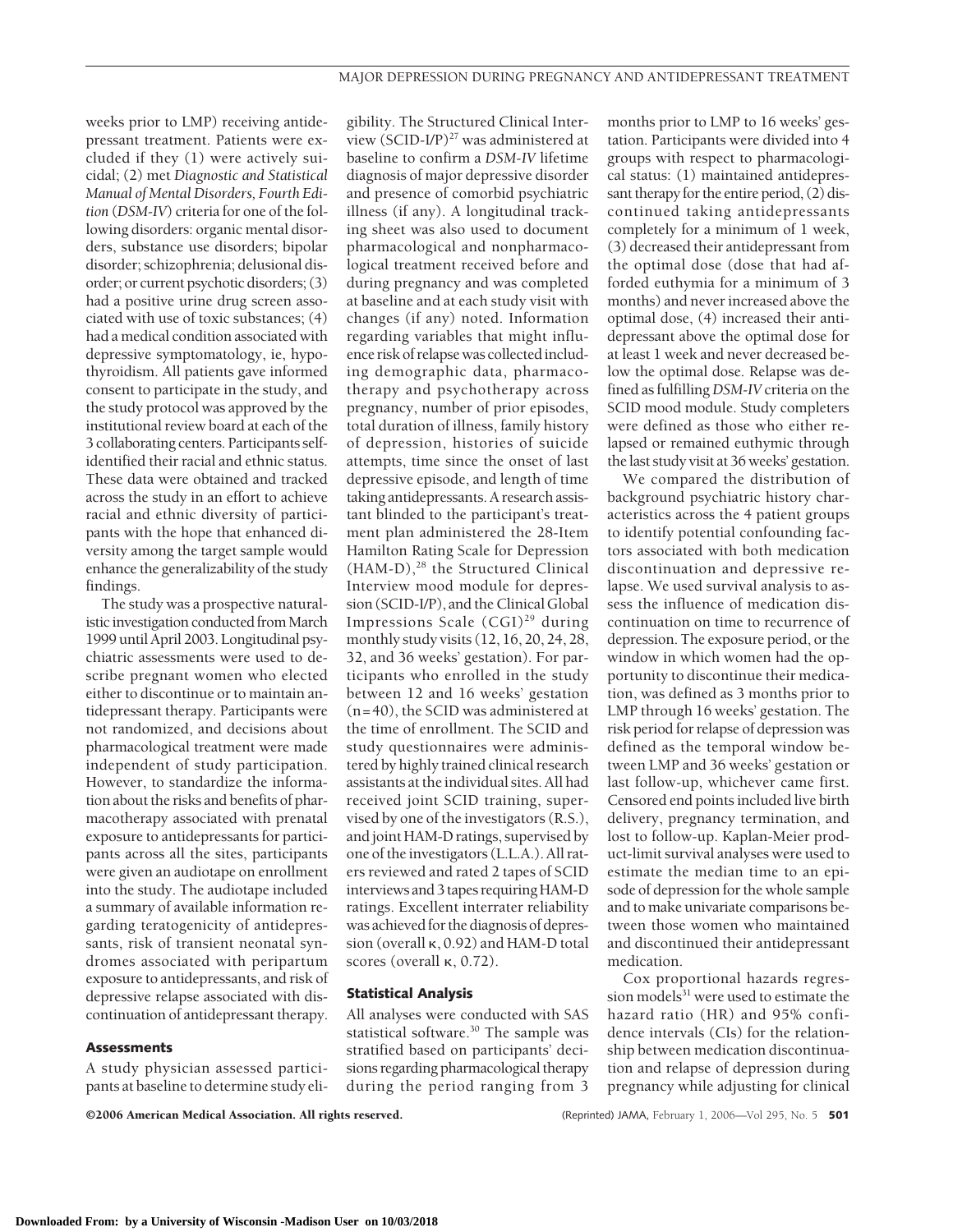weeks prior to LMP) receiving antidepressant treatment. Patients were excluded if they (1) were actively suicidal; (2) met *Diagnostic and Statistical Manual of Mental Disorders, Fourth Edition* (*DSM-IV*) criteria for one of the following disorders: organic mental disorders, substance use disorders; bipolar disorder; schizophrenia; delusional disorder; or current psychotic disorders; (3) had a positive urine drug screen associated with use of toxic substances; (4) had a medical condition associated with depressive symptomatology, ie, hypothyroidism. All patients gave informed consent to participate in the study, and the study protocol was approved by the institutional review board at each of the 3 collaborating centers. Participants selfidentified their racial and ethnic status. These data were obtained and tracked across the study in an effort to achieve racial and ethnic diversity of participants with the hope that enhanced diversity among the target sample would enhance the generalizability of the study findings.

The study was a prospective naturalistic investigation conducted from March 1999 until April 2003. Longitudinal psychiatric assessments were used to describe pregnant women who elected either to discontinue or to maintain antidepressant therapy. Participants were not randomized, and decisions about pharmacological treatment were made independent of study participation. However, to standardize the information about the risks and benefits of pharmacotherapy associated with prenatal exposure to antidepressants for participants across all the sites, participants were given an audiotape on enrollment into the study. The audiotape included a summary of available information regarding teratogenicity of antidepressants, risk of transient neonatal syndromes associated with peripartum exposure to antidepressants, and risk of depressive relapse associated with discontinuation of antidepressant therapy.

#### **Assessments**

A study physician assessed participants at baseline to determine study eligibility. The Structured Clinical Interview (SCID-I/P)27 was administered at baseline to confirm a *DSM-IV* lifetime diagnosis of major depressive disorder and presence of comorbid psychiatric illness (if any). A longitudinal tracking sheet was also used to document pharmacological and nonpharmacological treatment received before and during pregnancy and was completed at baseline and at each study visit with changes (if any) noted. Information regarding variables that might influence risk of relapse was collectedincluding demographic data, pharmacotherapy and psychotherapy across pregnancy, number of prior episodes, total duration of illness, family history of depression, histories of suicide attempts, time since the onset of last depressive episode, and length of time taking antidepressants. A research assistant blinded to the participant's treatment plan administered the 28-Item Hamilton Rating Scale for Depression  $(HAM-D),<sup>28</sup>$  the Structured Clinical Interview mood module for depression (SCID-I/P), and the Clinical Global Impressions Scale  $(CGI)^{29}$  during monthly study visits (12, 16, 20, 24, 28, 32, and 36 weeks' gestation). For participants who enrolled in the study between 12 and 16 weeks' gestation (n=40), the SCID was administered at the time of enrollment. The SCID and study questionnaires were administered by highly trained clinical research assistants at the individual sites. All had received joint SCID training, supervised by one of the investigators (R.S.), and joint HAM-D ratings, supervised by one of the investigators (L.L.A.). All raters reviewed and rated 2 tapes of SCID interviews and 3 tapes requiring HAM-D ratings. Excellent interrater reliability was achieved for the diagnosis of depression (overall  $\kappa$ , 0.92) and HAM-D total scores (overall  $\kappa$ , 0.72).

#### **Statistical Analysis**

All analyses were conducted with SAS statistical software.30 The sample was stratified based on participants' decisions regarding pharmacological therapy during the period ranging from 3

months prior to LMP to 16 weeks' gestation. Participants were divided into 4 groups with respect to pharmacological status: (1) maintained antidepressant therapy for the entire period, (2) discontinued taking antidepressants completely for a minimum of 1 week, (3) decreased their antidepressant from the optimal dose (dose that had afforded euthymia for a minimum of 3 months) and never increased above the optimal dose, (4) increased their antidepressant above the optimal dose for at least 1 week and never decreased below the optimal dose. Relapse was defined as fulfilling*DSM-IV* criteria on the SCID mood module. Study completers were defined as those who either relapsed or remained euthymic through the last study visit at 36 weeks' gestation.

We compared the distribution of background psychiatric history characteristics across the 4 patient groups to identify potential confounding factors associated with both medication discontinuation and depressive relapse. We used survival analysis to assess the influence of medication discontinuation on time to recurrence of depression. The exposure period, or the window in which women had the opportunity to discontinue their medication, was defined as 3 months prior to LMP through 16 weeks' gestation. The risk period for relapse of depression was defined as the temporal window between LMP and 36 weeks' gestation or last follow-up, whichever came first. Censored end points included live birth delivery, pregnancy termination, and lost to follow-up. Kaplan-Meier product-limit survival analyses were used to estimate the median time to an episode of depression for the whole sample and to make univariate comparisons between those women who maintained and discontinued their antidepressant medication.

Cox proportional hazards regression models<sup>31</sup> were used to estimate the hazard ratio (HR) and 95% confidence intervals (CIs) for the relationship between medication discontinuation and relapse of depression during pregnancy while adjusting for clinical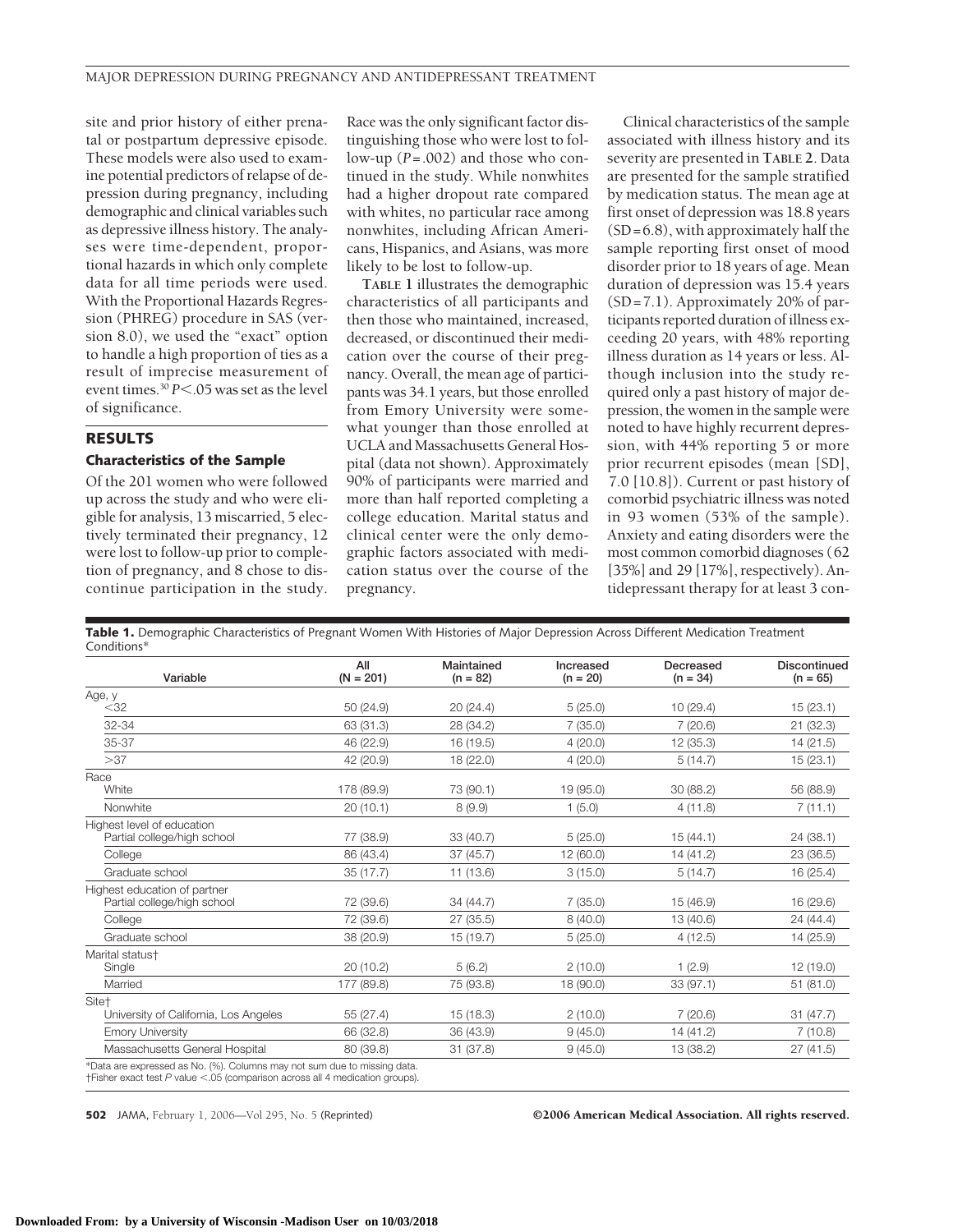site and prior history of either prenatal or postpartum depressive episode. These models were also used to examine potential predictors of relapse of depression during pregnancy, including demographic and clinical variables such as depressive illness history. The analyses were time-dependent, proportional hazards in which only complete data for all time periods were used. With the Proportional Hazards Regression (PHREG) procedure in SAS (version 8.0), we used the "exact" option to handle a high proportion of ties as a result of imprecise measurement of event times.<sup>30</sup> *P*<.05 was set as the level of significance.

# **RESULTS**

## **Characteristics of the Sample**

Of the 201 women who were followed up across the study and who were eligible for analysis, 13 miscarried, 5 electively terminated their pregnancy, 12 were lost to follow-up prior to completion of pregnancy, and 8 chose to discontinue participation in the study.

Race was the only significant factor distinguishing those who were lost to follow-up (*P*=.002) and those who continued in the study. While nonwhites had a higher dropout rate compared with whites, no particular race among nonwhites, including African Americans, Hispanics, and Asians, was more likely to be lost to follow-up.

**TABLE 1** illustrates the demographic characteristics of all participants and then those who maintained, increased, decreased, or discontinued their medication over the course of their pregnancy. Overall, the mean age of participants was 34.1 years, but those enrolled from Emory University were somewhat younger than those enrolled at UCLA and Massachusetts General Hospital (data not shown). Approximately 90% of participants were married and more than half reported completing a college education. Marital status and clinical center were the only demographic factors associated with medication status over the course of the pregnancy.

Clinical characteristics of the sample associated with illness history and its severity are presented in **TABLE 2**. Data are presented for the sample stratified by medication status. The mean age at first onset of depression was 18.8 years (SD=6.8), with approximately half the sample reporting first onset of mood disorder prior to 18 years of age. Mean duration of depression was 15.4 years (SD=7.1). Approximately 20% of participants reported duration of illness exceeding 20 years, with 48% reporting illness duration as 14 years or less. Although inclusion into the study required only a past history of major depression, the women in the sample were noted to have highly recurrent depression, with 44% reporting 5 or more prior recurrent episodes (mean [SD], 7.0 [10.8]). Current or past history of comorbid psychiatric illness was noted in 93 women (53% of the sample). Anxiety and eating disorders were the most common comorbid diagnoses (62 [35%] and 29 [17%], respectively). Antidepressant therapy for at least 3 con-

**Table 1.** Demographic Characteristics of Pregnant Women With Histories of Major Depression Across Different Medication Treatment Conditions\*

| Variable                                                                                                                                                    | All<br>$(N = 201)$ | Maintained<br>$(n = 82)$ | Increased<br>$(n = 20)$ | Decreased<br>$(n = 34)$ | Discontinued<br>$(n = 65)$ |
|-------------------------------------------------------------------------------------------------------------------------------------------------------------|--------------------|--------------------------|-------------------------|-------------------------|----------------------------|
| Age, y                                                                                                                                                      |                    |                          |                         |                         |                            |
| $<$ 32                                                                                                                                                      | 50(24.9)           | 20(24.4)                 | 5(25.0)                 | 10(29.4)                | 15(23.1)                   |
| 32-34                                                                                                                                                       | 63 (31.3)          | 28 (34.2)                | 7(35.0)                 | 7(20.6)                 | 21 (32.3)                  |
| 35-37                                                                                                                                                       | 46 (22.9)          | 16 (19.5)                | 4(20.0)                 | 12(35.3)                | 14(21.5)                   |
| >37                                                                                                                                                         | 42 (20.9)          | 18 (22.0)                | 4(20.0)                 | 5(14.7)                 | 15(23.1)                   |
| Race<br>White                                                                                                                                               | 178 (89.9)         | 73 (90.1)                | 19 (95.0)               | 30 (88.2)               | 56 (88.9)                  |
| Nonwhite                                                                                                                                                    | 20(10.1)           | 8(9.9)                   | 1(5.0)                  | 4(11.8)                 | 7(11.1)                    |
| Highest level of education                                                                                                                                  |                    |                          |                         |                         |                            |
| Partial college/high school                                                                                                                                 | 77 (38.9)          | 33 (40.7)                | 5(25.0)                 | 15 (44.1)               | 24 (38.1)                  |
| College                                                                                                                                                     | 86 (43.4)          | 37(45.7)                 | 12(60.0)                | 14 (41.2)               | 23 (36.5)                  |
| Graduate school                                                                                                                                             | 35(17.7)           | 11 (13.6)                | 3(15.0)                 | 5(14.7)                 | 16(25.4)                   |
| Highest education of partner                                                                                                                                |                    |                          |                         |                         |                            |
| Partial college/high school                                                                                                                                 | 72 (39.6)          | 34 (44.7)                | 7(35.0)                 | 15 (46.9)               | 16 (29.6)                  |
| College                                                                                                                                                     | 72 (39.6)          | 27(35.5)                 | 8(40.0)                 | 13 (40.6)               | 24 (44.4)                  |
| Graduate school                                                                                                                                             | 38 (20.9)          | 15(19.7)                 | 5(25.0)                 | 4(12.5)                 | 14 (25.9)                  |
| Marital status <sup>+</sup>                                                                                                                                 |                    |                          |                         |                         |                            |
| Single                                                                                                                                                      | 20(10.2)           | 5(6.2)                   | 2(10.0)                 | 1(2.9)                  | 12 (19.0)                  |
| Married                                                                                                                                                     | 177 (89.8)         | 75 (93.8)                | 18 (90.0)               | 33 (97.1)               | 51 (81.0)                  |
| Site <sup>+</sup>                                                                                                                                           |                    |                          |                         |                         |                            |
| University of California, Los Angeles                                                                                                                       | 55 (27.4)          | 15(18.3)                 | 2(10.0)                 | 7(20.6)                 | 31(47.7)                   |
| <b>Emory University</b>                                                                                                                                     | 66 (32.8)          | 36 (43.9)                | 9(45.0)                 | 14 (41.2)               | 7(10.8)                    |
| Massachusetts General Hospital                                                                                                                              | 80 (39.8)          | 31(37.8)                 | 9(45.0)                 | 13 (38.2)               | 27(41.5)                   |
| *Data are expressed as No. (%). Columns may not sum due to missing data.<br>$f$ Fisher exact test P value <.05 (comparison across all 4 medication groups). |                    |                          |                         |                         |                            |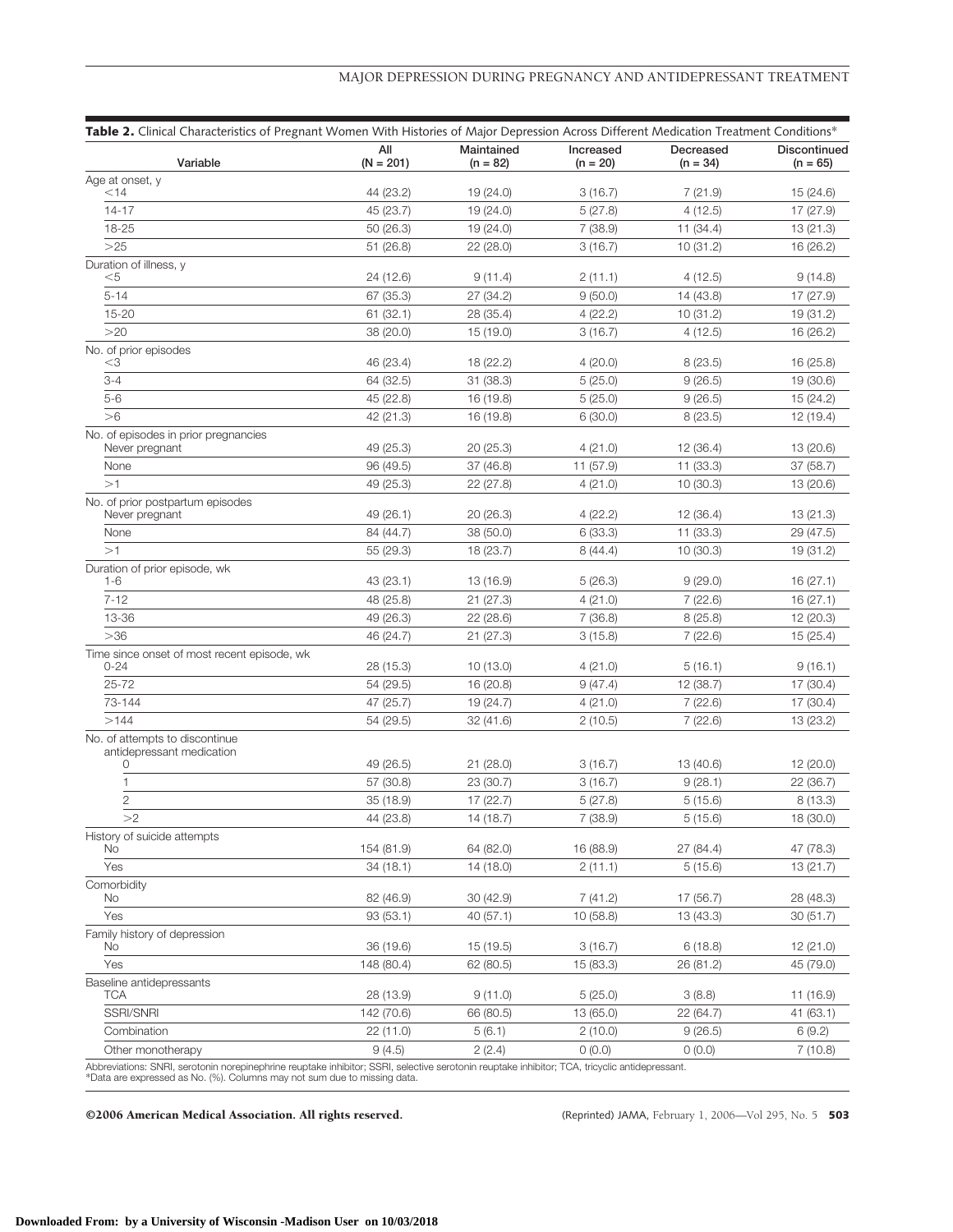|                                                             |                    |                          |                         | Table 2. Clinical Characteristics of Pregnant Women With Histories of Major Depression Across Different Medication Treatment Conditions* |                            |
|-------------------------------------------------------------|--------------------|--------------------------|-------------------------|------------------------------------------------------------------------------------------------------------------------------------------|----------------------------|
| Variable                                                    | All<br>$(N = 201)$ | Maintained<br>$(n = 82)$ | Increased<br>$(n = 20)$ | Decreased<br>$(n = 34)$                                                                                                                  | Discontinued<br>$(n = 65)$ |
| Age at onset, y                                             |                    |                          |                         |                                                                                                                                          |                            |
| $<$ 14                                                      | 44 (23.2)          | 19 (24.0)                | 3(16.7)                 | 7(21.9)                                                                                                                                  | 15 (24.6)                  |
| $14 - 17$                                                   | 45 (23.7)          | 19 (24.0)                | 5(27.8)                 | 4(12.5)                                                                                                                                  | 17 (27.9)                  |
| 18-25                                                       | 50 (26.3)          | 19 (24.0)                | 7(38.9)                 | 11 (34.4)                                                                                                                                | 13 (21.3)                  |
| >25                                                         | 51 (26.8)          | 22 (28.0)                | 3(16.7)                 | 10(31.2)                                                                                                                                 | 16 (26.2)                  |
| Duration of illness, y<br>$<$ 5                             | 24 (12.6)          | 9(11.4)                  | 2(11.1)                 | 4(12.5)                                                                                                                                  | 9(14.8)                    |
| $5 - 14$                                                    | 67 (35.3)          | 27 (34.2)                | 9(50.0)                 | 14 (43.8)                                                                                                                                | 17 (27.9)                  |
| 15-20                                                       | 61(32.1)           | 28 (35.4)                | 4(22.2)                 | 10(31.2)                                                                                                                                 | 19 (31.2)                  |
| >20                                                         | 38 (20.0)          | 15 (19.0)                | 3(16.7)                 | 4(12.5)                                                                                                                                  | 16 (26.2)                  |
| No. of prior episodes                                       |                    |                          |                         |                                                                                                                                          |                            |
| $<$ 3                                                       | 46 (23.4)          | 18 (22.2)                | 4(20.0)                 | 8(23.5)                                                                                                                                  | 16 (25.8)                  |
| $3 - 4$                                                     | 64 (32.5)          | 31 (38.3)                | 5(25.0)                 | 9(26.5)                                                                                                                                  | 19 (30.6)                  |
| $5-6$                                                       | 45 (22.8)          | 16 (19.8)                | 5(25.0)                 | 9(26.5)                                                                                                                                  | 15 (24.2)                  |
| >6                                                          | 42 (21.3)          | 16 (19.8)                | 6(30.0)                 | 8(23.5)                                                                                                                                  | 12 (19.4)                  |
| No. of episodes in prior pregnancies                        |                    |                          |                         |                                                                                                                                          |                            |
| Never pregnant                                              | 49 (25.3)          | 20 (25.3)                | 4(21.0)                 | 12 (36.4)                                                                                                                                | 13 (20.6)                  |
| None                                                        | 96 (49.5)          | 37 (46.8)                | 11 (57.9)               | 11 (33.3)                                                                                                                                | 37 (58.7)                  |
| >1                                                          | 49 (25.3)          | 22 (27.8)                | 4(21.0)                 | 10(30.3)                                                                                                                                 | 13 (20.6)                  |
| No. of prior postpartum episodes<br>Never pregnant          | 49 (26.1)          | 20 (26.3)                | 4(22.2)                 | 12 (36.4)                                                                                                                                | 13 (21.3)                  |
| None                                                        | 84 (44.7)          | 38 (50.0)                | 6(33.3)                 | 11 (33.3)                                                                                                                                | 29 (47.5)                  |
| >1                                                          | 55 (29.3)          | 18 (23.7)                | 8(44.4)                 | 10(30.3)                                                                                                                                 | 19 (31.2)                  |
| Duration of prior episode, wk                               |                    |                          |                         |                                                                                                                                          |                            |
| 1-6                                                         | 43 (23.1)          | 13 (16.9)                | 5(26.3)                 | 9(29.0)                                                                                                                                  | 16 (27.1)                  |
| $7 - 12$                                                    | 48 (25.8)          | 21(27.3)                 | 4(21.0)                 | 7(22.6)                                                                                                                                  | 16(27.1)                   |
| 13-36                                                       | 49 (26.3)          | 22(28.6)                 | 7(36.8)                 | 8(25.8)                                                                                                                                  | 12 (20.3)                  |
| >36                                                         | 46 (24.7)          | 21(27.3)                 | 3(15.8)                 | 7(22.6)                                                                                                                                  | 15(25.4)                   |
| Time since onset of most recent episode, wk                 |                    |                          |                         |                                                                                                                                          |                            |
| $0 - 24$                                                    | 28 (15.3)          | 10 (13.0)                | 4(21.0)                 | 5(16.1)                                                                                                                                  | 9(16.1)                    |
| $25 - 72$                                                   | 54 (29.5)          | 16 (20.8)                | 9(47.4)                 | 12 (38.7)                                                                                                                                | 17 (30.4)                  |
| 73-144                                                      | 47 (25.7)          | 19 (24.7)                | 4(21.0)                 | 7(22.6)                                                                                                                                  | 17 (30.4)                  |
| >144                                                        | 54 (29.5)          | 32(41.6)                 | 2(10.5)                 | 7(22.6)                                                                                                                                  | 13 (23.2)                  |
| No. of attempts to discontinue<br>antidepressant medication |                    |                          |                         |                                                                                                                                          |                            |
| 0                                                           | 49 (26.5)          | 21 (28.0)                | 3(16.7)                 | 13 (40.6)                                                                                                                                | 12 (20.0)                  |
| 1                                                           | 57 (30.8)          | 23 (30.7)                | 3(16.7)                 | 9(28.1)                                                                                                                                  | 22 (36.7)                  |
| $\overline{2}$                                              | 35 (18.9)          | 17(22.7)                 | 5(27.8)                 | 5(15.6)                                                                                                                                  | 8(13.3)                    |
| >2                                                          | 44 (23.8)          | 14 (18.7)                | 7 (38.9)                | 5(15.6)                                                                                                                                  | 18 (30.0)                  |
| History of suicide attempts                                 |                    |                          |                         |                                                                                                                                          |                            |
| No                                                          | 154 (81.9)         | 64 (82.0)                | 16 (88.9)               | 27 (84.4)                                                                                                                                | 47 (78.3)                  |
| Yes                                                         | 34 (18.1)          | 14 (18.0)                | 2(11.1)                 | 5(15.6)                                                                                                                                  | 13 (21.7)                  |
| Comorbidity<br>No                                           | 82 (46.9)          | 30 (42.9)                | 7(41.2)                 | 17 (56.7)                                                                                                                                | 28 (48.3)                  |
| Yes                                                         | 93 (53.1)          | 40 (57.1)                | 10(58.8)                | 13 (43.3)                                                                                                                                | 30 (51.7)                  |
| Family history of depression                                |                    |                          |                         |                                                                                                                                          |                            |
| No                                                          | 36 (19.6)          | 15 (19.5)                | 3(16.7)                 | 6(18.8)                                                                                                                                  | 12 (21.0)                  |
| Yes                                                         | 148 (80.4)         | 62 (80.5)                | 15 (83.3)               | 26 (81.2)                                                                                                                                | 45 (79.0)                  |
| Baseline antidepressants<br>TCA                             | 28 (13.9)          | 9(11.0)                  | 5(25.0)                 | 3(8.8)                                                                                                                                   | 11 (16.9)                  |
| SSRI/SNRI                                                   | 142 (70.6)         | 66 (80.5)                | 13 (65.0)               | 22 (64.7)                                                                                                                                | 41 (63.1)                  |
| Combination                                                 | 22 (11.0)          | 5(6.1)                   | 2(10.0)                 | 9(26.5)                                                                                                                                  | 6(9.2)                     |
|                                                             | 9(4.5)             | 2(2.4)                   | 0(0.0)                  | 0(0.0)                                                                                                                                   | 7(10.8)                    |

Abbreviations: SNRI, serotonin norepinephrine reuptake inhibitor; SSRI, selective serotonin reuptake inhibitor; TCA, tricyclic antidepressant.<br>\*Data are expressed as No. (%). Columns may not sum due to missing data.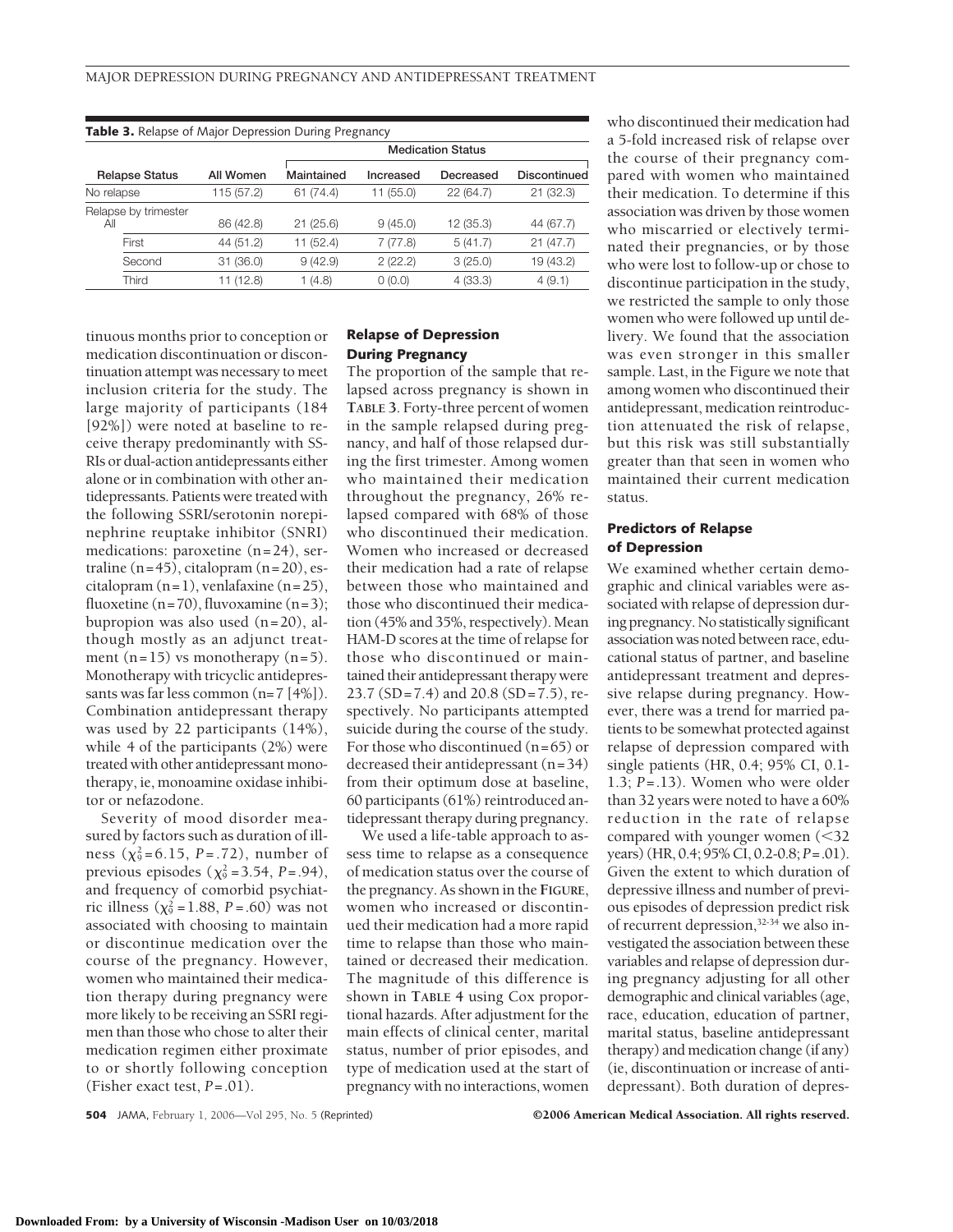| <b>Table 3.</b> Relapse of Major Depression During Pregnancy |            |                          |           |           |              |  |  |
|--------------------------------------------------------------|------------|--------------------------|-----------|-----------|--------------|--|--|
|                                                              |            | <b>Medication Status</b> |           |           |              |  |  |
| <b>Relapse Status</b>                                        | All Women  | Maintained               | Increased | Decreased | Discontinued |  |  |
| No relapse                                                   | 115 (57.2) | 61(74.4)                 | 11 (55.0) | 22 (64.7) | 21(32.3)     |  |  |
| Relapse by trimester<br>All                                  | 86 (42.8)  | 21(25.6)                 | 9(45.0)   | 12 (35.3) | 44 (67.7)    |  |  |
| First                                                        | 44 (51.2)  | 11 (52.4)                | 7(77.8)   | 5(41.7)   | 21(47.7)     |  |  |
| Second                                                       | 31(36.0)   | 9(42.9)                  | 2(22.2)   | 3(25.0)   | 19 (43.2)    |  |  |
| Third                                                        | (12.8)     | (4.8)                    | 0(0.0)    | 4(33.3)   | 4(9.1)       |  |  |

tinuous months prior to conception or medication discontinuation or discontinuation attempt was necessary to meet inclusion criteria for the study. The large majority of participants (184 [92%]) were noted at baseline to receive therapy predominantly with SS-RIs or dual-action antidepressants either alone or in combination with other antidepressants. Patients were treated with the following SSRI/serotonin norepinephrine reuptake inhibitor (SNRI) medications: paroxetine (n=24), sertraline  $(n=45)$ , citalopram  $(n=20)$ , escitalopram  $(n=1)$ , venlafaxine  $(n=25)$ , fluoxetine (n=70), fluvoxamine (n=3); bupropion was also used (n=20), although mostly as an adjunct treatment  $(n=15)$  vs monotherapy  $(n=5)$ . Monotherapy with tricyclic antidepressants was far less common (n=7 [4%]). Combination antidepressant therapy was used by 22 participants (14%), while 4 of the participants (2%) were treated with other antidepressant monotherapy, ie, monoamine oxidase inhibitor or nefazodone.

Severity of mood disorder measured by factors such as duration of illness  $(\chi^2_{9} = 6.15, P = .72)$ , number of previous episodes ( $\chi^2 = 3.54$ , *P*=.94), and frequency of comorbid psychiatric illness ( $\chi^2 = 1.88$ , *P* = .60) was not associated with choosing to maintain or discontinue medication over the course of the pregnancy. However, women who maintained their medication therapy during pregnancy were more likely to be receiving an SSRI regimen than those who chose to alter their medication regimen either proximate to or shortly following conception (Fisher exact test, *P*=.01).

#### **Relapse of Depression During Pregnancy**

The proportion of the sample that relapsed across pregnancy is shown in **TABLE 3**. Forty-three percent of women in the sample relapsed during pregnancy, and half of those relapsed during the first trimester. Among women who maintained their medication throughout the pregnancy, 26% relapsed compared with 68% of those who discontinued their medication. Women who increased or decreased their medication had a rate of relapse between those who maintained and those who discontinued their medication (45% and 35%, respectively). Mean HAM-D scores at the time of relapse for those who discontinued or maintained their antidepressant therapy were 23.7 (SD=7.4) and 20.8 (SD=7.5), respectively. No participants attempted suicide during the course of the study. For those who discontinued  $(n=65)$  or decreased their antidepressant (n=34) from their optimum dose at baseline, 60 participants (61%) reintroduced antidepressant therapy during pregnancy.

We used a life-table approach to assess time to relapse as a consequence of medication status over the course of the pregnancy. As shown in the **FIGURE**, women who increased or discontinued their medication had a more rapid time to relapse than those who maintained or decreased their medication. The magnitude of this difference is shown in **TABLE 4** using Cox proportional hazards. After adjustment for the main effects of clinical center, marital status, number of prior episodes, and type of medication used at the start of pregnancy with no interactions, women

who discontinued their medication had a 5-fold increased risk of relapse over the course of their pregnancy compared with women who maintained their medication. To determine if this association was driven by those women who miscarried or electively terminated their pregnancies, or by those who were lost to follow-up or chose to discontinue participation in the study, we restricted the sample to only those women who were followed up until delivery. We found that the association was even stronger in this smaller sample. Last, in the Figure we note that among women who discontinued their antidepressant, medication reintroduction attenuated the risk of relapse, but this risk was still substantially greater than that seen in women who maintained their current medication status.

#### **Predictors of Relapse of Depression**

We examined whether certain demographic and clinical variables were associated with relapse of depression during pregnancy. No statistically significant association was noted between race, educational status of partner, and baseline antidepressant treatment and depressive relapse during pregnancy. However, there was a trend for married patients to be somewhat protected against relapse of depression compared with single patients (HR, 0.4; 95% CI, 0.1- 1.3; *P*=.13). Women who were older than 32 years were noted to have a 60% reduction in the rate of relapse compared with younger women (32 years) (HR, 0.4; 95% CI, 0.2-0.8; *P*=.01). Given the extent to which duration of depressive illness and number of previous episodes of depression predict risk of recurrent depression,32-34 we also investigated the association between these variables and relapse of depression during pregnancy adjusting for all other demographic and clinical variables (age, race, education, education of partner, marital status, baseline antidepressant therapy) and medication change (if any) (ie, discontinuation or increase of antidepressant). Both duration of depres-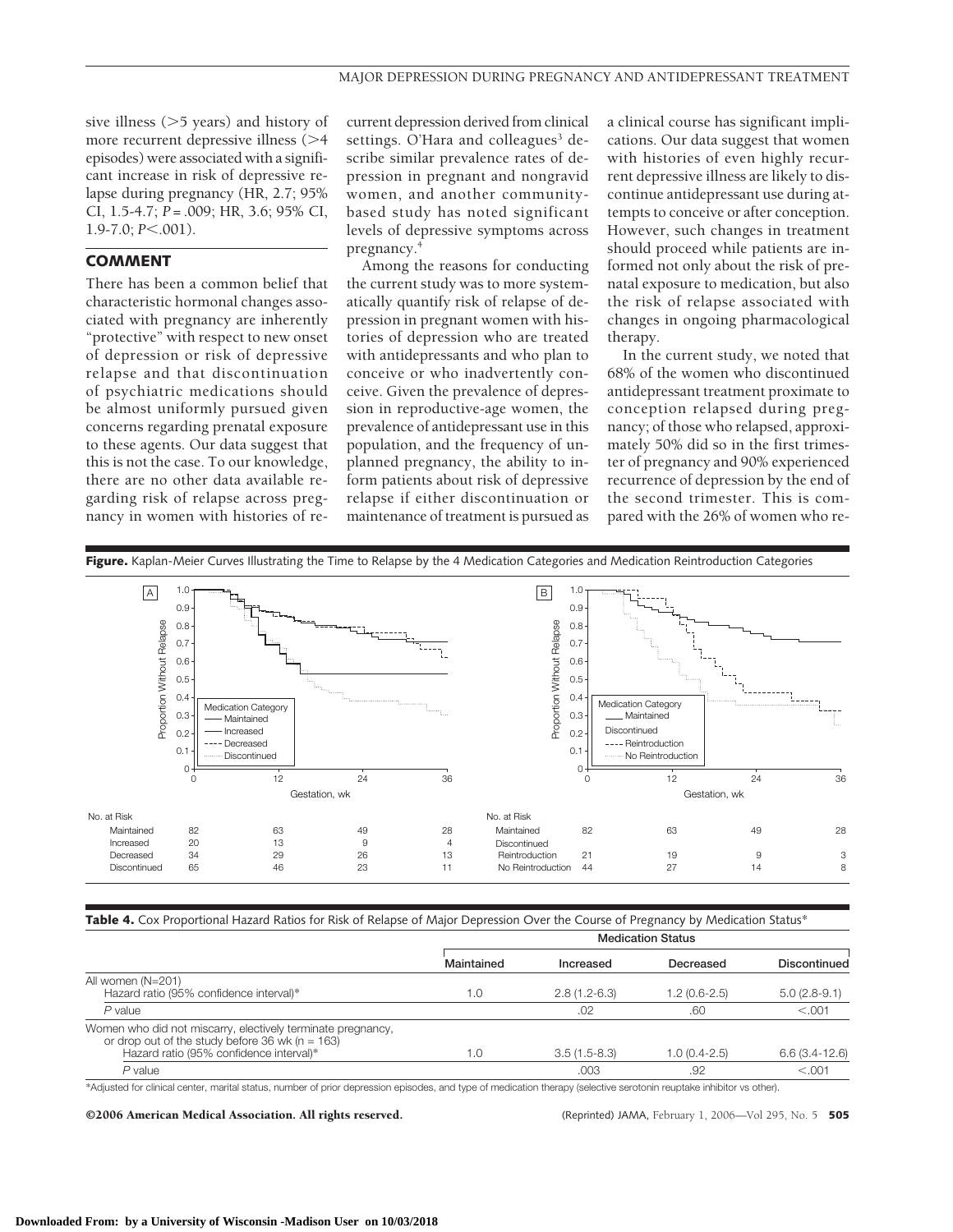sive illness  $(>5$  years) and history of more recurrent depressive illness  $(>4)$ episodes) were associated with a significant increase in risk of depressive relapse during pregnancy (HR, 2.7; 95% CI, 1.5-4.7; *P* = .009; HR, 3.6; 95% CI, 1.9-7.0; *P*<.001).

### **COMMENT**

There has been a common belief that characteristic hormonal changes associated with pregnancy are inherently "protective" with respect to new onset of depression or risk of depressive relapse and that discontinuation of psychiatric medications should be almost uniformly pursued given concerns regarding prenatal exposure to these agents. Our data suggest that this is not the case. To our knowledge, there are no other data available regarding risk of relapse across pregnancy in women with histories of recurrent depression derived from clinical settings. O'Hara and colleagues<sup>3</sup> describe similar prevalence rates of depression in pregnant and nongravid women, and another communitybased study has noted significant levels of depressive symptoms across pregnancy.4

Among the reasons for conducting the current study was to more systematically quantify risk of relapse of depression in pregnant women with histories of depression who are treated with antidepressants and who plan to conceive or who inadvertently conceive. Given the prevalence of depression in reproductive-age women, the prevalence of antidepressant use in this population, and the frequency of unplanned pregnancy, the ability to inform patients about risk of depressive relapse if either discontinuation or maintenance of treatment is pursued as a clinical course has significant implications. Our data suggest that women with histories of even highly recurrent depressive illness are likely to discontinue antidepressant use during attempts to conceive or after conception. However, such changes in treatment should proceed while patients are informed not only about the risk of prenatal exposure to medication, but also the risk of relapse associated with changes in ongoing pharmacological therapy.

In the current study, we noted that 68% of the women who discontinued antidepressant treatment proximate to conception relapsed during pregnancy; of those who relapsed, approximately 50% did so in the first trimester of pregnancy and 90% experienced recurrence of depression by the end of the second trimester. This is compared with the 26% of women who re-



|  | <b>Table 4.</b> Cox Proportional Hazard Ratios for Risk of Relapse of Major Depression Over the Course of Pregnancy by Medication Status* |  |
|--|-------------------------------------------------------------------------------------------------------------------------------------------|--|
|  |                                                                                                                                           |  |

|                                                                                                                                                             | <b>Medication Status</b> |                |                |                 |  |
|-------------------------------------------------------------------------------------------------------------------------------------------------------------|--------------------------|----------------|----------------|-----------------|--|
|                                                                                                                                                             | Maintained               | Increased      | Decreased      | Discontinued    |  |
| All women (N=201)<br>Hazard ratio (95% confidence interval)*                                                                                                | 1.0                      | $2.8(1.2-6.3)$ | 1.2 (0.6-2.5)  | $5.0(2.8-9.1)$  |  |
| $P$ value                                                                                                                                                   |                          | .02            | .60            | < 0.001         |  |
| Women who did not miscarry, electively terminate pregnancy,<br>or drop out of the study before $36$ wk (n = 163)<br>Hazard ratio (95% confidence interval)* | 1.0                      | $3.5(1.5-8.3)$ | $1.0(0.4-2.5)$ | $6.6(3.4-12.6)$ |  |
| $P$ value                                                                                                                                                   |                          | .003           | .92            | < 0.001         |  |

\*Adjusted for clinical center, marital status, number of prior depression episodes, and type of medication therapy (selective serotonin reuptake inhibitor vs other).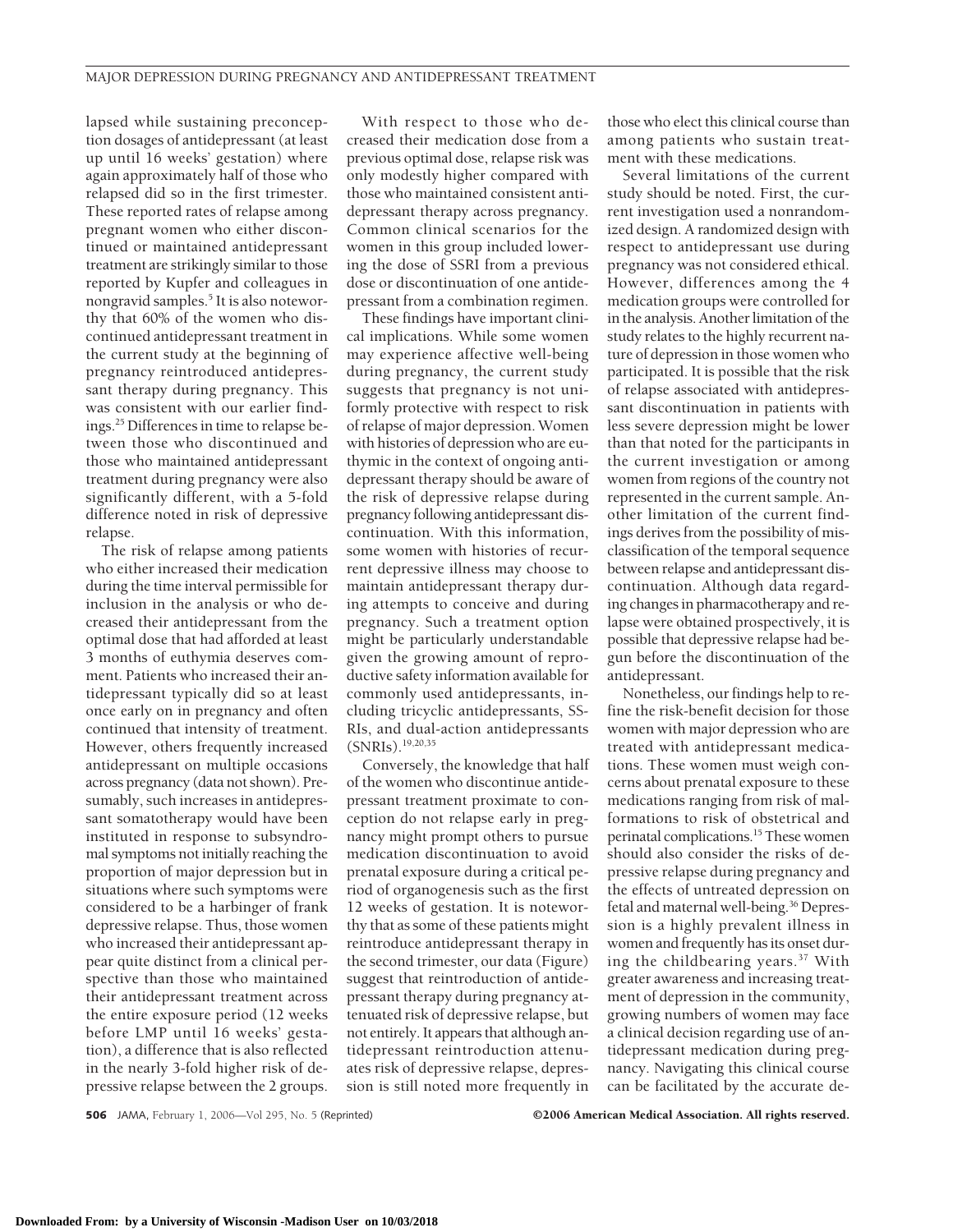lapsed while sustaining preconception dosages of antidepressant (at least up until 16 weeks' gestation) where again approximately half of those who relapsed did so in the first trimester. These reported rates of relapse among pregnant women who either discontinued or maintained antidepressant treatment are strikingly similar to those reported by Kupfer and colleagues in nongravid samples.<sup>5</sup> It is also noteworthy that 60% of the women who discontinued antidepressant treatment in the current study at the beginning of pregnancy reintroduced antidepressant therapy during pregnancy. This was consistent with our earlier findings.25 Differences in time to relapse between those who discontinued and those who maintained antidepressant treatment during pregnancy were also significantly different, with a 5-fold difference noted in risk of depressive relapse.

The risk of relapse among patients who either increased their medication during the time interval permissible for inclusion in the analysis or who decreased their antidepressant from the optimal dose that had afforded at least 3 months of euthymia deserves comment. Patients who increased their antidepressant typically did so at least once early on in pregnancy and often continued that intensity of treatment. However, others frequently increased antidepressant on multiple occasions across pregnancy (data not shown). Presumably, such increases in antidepressant somatotherapy would have been instituted in response to subsyndromal symptoms not initially reaching the proportion of major depression but in situations where such symptoms were considered to be a harbinger of frank depressive relapse. Thus, those women who increased their antidepressant appear quite distinct from a clinical perspective than those who maintained their antidepressant treatment across the entire exposure period (12 weeks before LMP until 16 weeks' gestation), a difference that is also reflected in the nearly 3-fold higher risk of depressive relapse between the 2 groups.

With respect to those who decreased their medication dose from a previous optimal dose, relapse risk was only modestly higher compared with those who maintained consistent antidepressant therapy across pregnancy. Common clinical scenarios for the women in this group included lowering the dose of SSRI from a previous dose or discontinuation of one antidepressant from a combination regimen.

These findings have important clinical implications. While some women may experience affective well-being during pregnancy, the current study suggests that pregnancy is not uniformly protective with respect to risk of relapse of major depression. Women with histories of depression who are euthymic in the context of ongoing antidepressant therapy should be aware of the risk of depressive relapse during pregnancy following antidepressant discontinuation. With this information, some women with histories of recurrent depressive illness may choose to maintain antidepressant therapy during attempts to conceive and during pregnancy. Such a treatment option might be particularly understandable given the growing amount of reproductive safety information available for commonly used antidepressants, including tricyclic antidepressants, SS-RIs, and dual-action antidepressants (SNRIs).19,20,35

Conversely, the knowledge that half of the women who discontinue antidepressant treatment proximate to conception do not relapse early in pregnancy might prompt others to pursue medication discontinuation to avoid prenatal exposure during a critical period of organogenesis such as the first 12 weeks of gestation. It is noteworthy that as some of these patients might reintroduce antidepressant therapy in the second trimester, our data (Figure) suggest that reintroduction of antidepressant therapy during pregnancy attenuated risk of depressive relapse, but not entirely. It appears that although antidepressant reintroduction attenuates risk of depressive relapse, depression is still noted more frequently in

those who elect this clinical course than among patients who sustain treatment with these medications.

Several limitations of the current study should be noted. First, the current investigation used a nonrandomized design. A randomized design with respect to antidepressant use during pregnancy was not considered ethical. However, differences among the 4 medication groups were controlled for in the analysis. Another limitation of the study relates to the highly recurrent nature of depression in those women who participated. It is possible that the risk of relapse associated with antidepressant discontinuation in patients with less severe depression might be lower than that noted for the participants in the current investigation or among women from regions of the country not represented in the current sample. Another limitation of the current findings derives from the possibility of misclassification of the temporal sequence between relapse and antidepressant discontinuation. Although data regarding changes in pharmacotherapy and relapse were obtained prospectively, it is possible that depressive relapse had begun before the discontinuation of the antidepressant.

Nonetheless, our findings help to refine the risk-benefit decision for those women with major depression who are treated with antidepressant medications. These women must weigh concerns about prenatal exposure to these medications ranging from risk of malformations to risk of obstetrical and perinatal complications.<sup>15</sup> These women should also consider the risks of depressive relapse during pregnancy and the effects of untreated depression on fetal and maternal well-being.36 Depression is a highly prevalent illness in women and frequently has its onset during the childbearing years.37 With greater awareness and increasing treatment of depression in the community, growing numbers of women may face a clinical decision regarding use of antidepressant medication during pregnancy. Navigating this clinical course can be facilitated by the accurate de-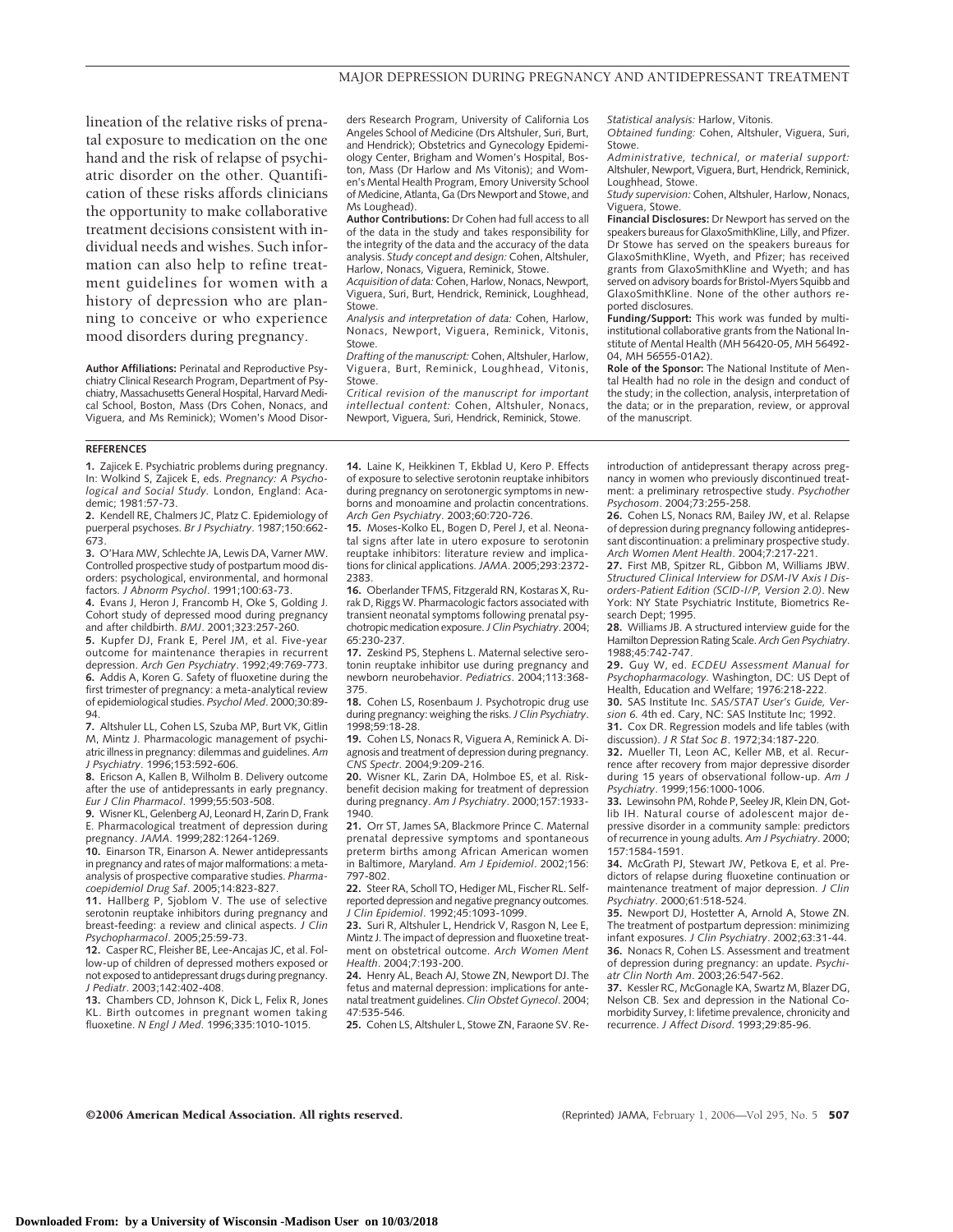lineation of the relative risks of prenatal exposure to medication on the one hand and the risk of relapse of psychiatric disorder on the other. Quantification of these risks affords clinicians the opportunity to make collaborative treatment decisions consistent with individual needs and wishes. Such information can also help to refine treatment guidelines for women with a history of depression who are planning to conceive or who experience mood disorders during pregnancy.

**Author Affiliations:** Perinatal and Reproductive Psychiatry Clinical Research Program, Department of Psychiatry, Massachusetts General Hospital, Harvard Medical School, Boston, Mass (Drs Cohen, Nonacs, and Viguera, and Ms Reminick); Women's Mood Disorders Research Program, University of California Los Angeles School of Medicine (Drs Altshuler, Suri, Burt, and Hendrick); Obstetrics and Gynecology Epidemiology Center, Brigham and Women's Hospital, Boston, Mass (Dr Harlow and Ms Vitonis); and Women's Mental Health Program, Emory University School of Medicine, Atlanta, Ga (Drs Newport and Stowe, and Ms Loughead).

**Author Contributions:** Dr Cohen had full access to all of the data in the study and takes responsibility for the integrity of the data and the accuracy of the data analysis. *Study concept and design:* Cohen, Altshuler, Harlow, Nonacs, Viguera, Reminick, Stowe.

*Acquisition of data:* Cohen, Harlow, Nonacs, Newport, Viguera, Suri, Burt, Hendrick, Reminick, Loughhead, Stowe.

*Analysis and interpretation of data:* Cohen, Harlow, Nonacs, Newport, Viguera, Reminick, Vitonis, Stowe.

*Drafting of the manuscript:* Cohen, Altshuler, Harlow, Viguera, Burt, Reminick, Loughhead, Vitonis, Stowe.

*Critical revision of the manuscript for important intellectual content:* Cohen, Altshuler, Nonacs, Newport, Viguera, Suri, Hendrick, Reminick, Stowe.

*Statistical analysis:* Harlow, Vitonis.

*Obtained funding:* Cohen, Altshuler, Viguera, Suri, Stowe.

*Administrative, technical, or material support:* Altshuler, Newport, Viguera, Burt, Hendrick, Reminick, Loughhead, Stowe.

*Study supervision:* Cohen, Altshuler, Harlow, Nonacs, Viguera, Stowe.

**Financial Disclosures:** Dr Newport has served on the speakers bureaus for GlaxoSmithKline, Lilly, and Pfizer. Dr Stowe has served on the speakers bureaus for GlaxoSmithKline, Wyeth, and Pfizer; has received grants from GlaxoSmithKline and Wyeth; and has served on advisory boards for Bristol-Myers Squibb and GlaxoSmithKline. None of the other authors reported disclosures.

**Funding/Support:** This work was funded by multiinstitutional collaborative grants from the National Institute of Mental Health (MH 56420-05, MH 56492- 04, MH 56555-01A2).

**Role of the Sponsor:** The National Institute of Mental Health had no role in the design and conduct of the study; in the collection, analysis, interpretation of the data; or in the preparation, review, or approval of the manuscript.

#### **REFERENCES**

**1.** Zajicek E. Psychiatric problems during pregnancy. In: Wolkind S, Zajicek E, eds. *Pregnancy: A Psychological and Social Study.* London, England: Academic; 1981:57-73.

**2.** Kendell RE, Chalmers JC, Platz C. Epidemiology of puerperal psychoses. *Br J Psychiatry*. 1987;150:662- 673.

**3.** O'Hara MW, Schlechte JA, Lewis DA, Varner MW. Controlled prospective study of postpartum mood disorders: psychological, environmental, and hormonal factors. *J Abnorm Psychol*. 1991;100:63-73.

**4.** Evans J, Heron J, Francomb H, Oke S, Golding J. Cohort study of depressed mood during pregnancy and after childbirth. *BMJ*. 2001;323:257-260.

**5.** Kupfer DJ, Frank E, Perel JM, et al. Five-year outcome for maintenance therapies in recurrent depression. *Arch Gen Psychiatry*. 1992;49:769-773. **6.** Addis A, Koren G. Safety of fluoxetine during the first trimester of pregnancy: a meta-analytical review of epidemiological studies. *Psychol Med*. 2000;30:89-

94. **7.** Altshuler LL, Cohen LS, Szuba MP, Burt VK, Gitlin M, Mintz J. Pharmacologic management of psychiatric illness in pregnancy: dilemmas and guidelines. *Am J Psychiatry*. 1996;153:592-606.

**8.** Ericson A, Kallen B, Wilholm B. Delivery outcome after the use of antidepressants in early pregnancy. *Eur J Clin Pharmacol*. 1999;55:503-508.

**9.** Wisner KL, Gelenberg AJ, Leonard H, Zarin D, Frank E. Pharmacological treatment of depression during pregnancy. *JAMA*. 1999;282:1264-1269.

**10.** Einarson TR, Einarson A. Newer antidepressants in pregnancy and rates of major malformations: a metaanalysis of prospective comparative studies. *Pharma-*

*coepidemiol Drug Saf*. 2005;14:823-827. **11.** Hallberg P, Sjoblom V. The use of selective serotonin reuptake inhibitors during pregnancy and breast-feeding: a review and clinical aspects. *J Clin Psychopharmacol*. 2005;25:59-73.

**12.** Casper RC, Fleisher BE, Lee-Ancajas JC, et al. Follow-up of children of depressed mothers exposed or not exposed to antidepressant drugs during pregnancy. *J Pediatr*. 2003;142:402-408.

**13.** Chambers CD, Johnson K, Dick L, Felix R, Jones KL. Birth outcomes in pregnant women taking fluoxetine. *N Engl J Med*. 1996;335:1010-1015.

**14.** Laine K, Heikkinen T, Ekblad U, Kero P. Effects of exposure to selective serotonin reuptake inhibitors during pregnancy on serotonergic symptoms in newborns and monoamine and prolactin concentrations. *Arch Gen Psychiatry*. 2003;60:720-726.

**15.** Moses-Kolko EL, Bogen D, Perel J, et al. Neonatal signs after late in utero exposure to serotonin reuptake inhibitors: literature review and implications for clinical applications. *JAMA*. 2005;293:2372- 2383.

**16.** Oberlander TFMS, Fitzgerald RN, Kostaras X, Rurak D, Riggs W. Pharmacologic factors associated with transient neonatal symptoms following prenatal psychotropic medication exposure.*J Clin Psychiatry*. 2004; 65:230-237.

**17.** Zeskind PS, Stephens L. Maternal selective serotonin reuptake inhibitor use during pregnancy and newborn neurobehavior. *Pediatrics*. 2004;113:368- 375.

**18.** Cohen LS, Rosenbaum J. Psychotropic drug use during pregnancy: weighing the risks.*J Clin Psychiatry*. 1998;59:18-28.

**19.** Cohen LS, Nonacs R, Viguera A, Reminick A. Diagnosis and treatment of depression during pregnancy. *CNS Spectr*. 2004;9:209-216.

**20.** Wisner KL, Zarin DA, Holmboe ES, et al. Riskbenefit decision making for treatment of depression during pregnancy. *Am J Psychiatry*. 2000;157:1933- 1940.

**21.** Orr ST, James SA, Blackmore Prince C. Maternal prenatal depressive symptoms and spontaneous preterm births among African American women in Baltimore, Maryland. *Am J Epidemiol*. 2002;156: 797-802.

**22.** Steer RA, Scholl TO, Hediger ML, Fischer RL. Selfreported depression and negative pregnancy outcomes. *J Clin Epidemiol*. 1992;45:1093-1099.

**23.** Suri R, Altshuler L, Hendrick V, Rasgon N, Lee E, Mintz J. The impact of depression and fluoxetine treatment on obstetrical outcome. *Arch Women Ment Health*. 2004;7:193-200.

**24.** Henry AL, Beach AJ, Stowe ZN, Newport DJ. The fetus and maternal depression: implications for antenatal treatment guidelines. *Clin Obstet Gynecol*. 2004; 47:535-546.

**25.** Cohen LS, Altshuler L, Stowe ZN, Faraone SV. Re-

introduction of antidepressant therapy across pregnancy in women who previously discontinued treatment: a preliminary retrospective study. *Psychother Psychosom*. 2004;73:255-258.

**26.** Cohen LS, Nonacs RM, Bailey JW, et al. Relapse of depression during pregnancy following antidepressant discontinuation: a preliminary prospective study. *Arch Women Ment Health*. 2004;7:217-221.

**27.** First MB, Spitzer RL, Gibbon M, Williams JBW. *Structured Clinical Interview for DSM-IV Axis I Disorders-Patient Edition (SCID-I/P, Version 2.0)*. New York: NY State Psychiatric Institute, Biometrics Research Dept; 1995

**28.** Williams JB. A structured interview guide for the Hamilton Depression Rating Scale.*Arch Gen Psychiatry*. 1988;45:742-747.

**29.** Guy W, ed. *ECDEU Assessment Manual for Psychopharmacology.* Washington, DC: US Dept of Health, Education and Welfare; 1976:218-222.

**30.** SAS Institute Inc. *SAS/STAT User's Guide, Version 6.* 4th ed. Cary, NC: SAS Institute Inc; 1992.

**31.** Cox DR. Regression models and life tables (with discussion). *J R Stat Soc B*. 1972;34:187-220.

**32.** Mueller TI, Leon AC, Keller MB, et al. Recurrence after recovery from major depressive disorder during 15 years of observational follow-up. *Am J Psychiatry*. 1999;156:1000-1006.

**33.** Lewinsohn PM, Rohde P, Seeley JR, Klein DN, Gotlib IH. Natural course of adolescent major depressive disorder in a community sample: predictors of recurrence in young adults. *Am J Psychiatry*. 2000; 157:1584-1591.

**34.** McGrath PJ, Stewart JW, Petkova E, et al. Predictors of relapse during fluoxetine continuation or maintenance treatment of major depression. *J Clin Psychiatry*. 2000;61:518-524.

**35.** Newport DJ, Hostetter A, Arnold A, Stowe ZN. The treatment of postpartum depression: minimizing infant exposures. *J Clin Psychiatry*. 2002;63:31-44. **36.** Nonacs R, Cohen LS. Assessment and treatment of depression during pregnancy: an update. *Psychi-atr Clin North Am*. 2003;26:547-562.

**37.** Kessler RC, McGonagle KA, Swartz M, Blazer DG, Nelson CB. Sex and depression in the National Comorbidity Survey, I: lifetime prevalence, chronicity and recurrence. *J Affect Disord*. 1993;29:85-96.